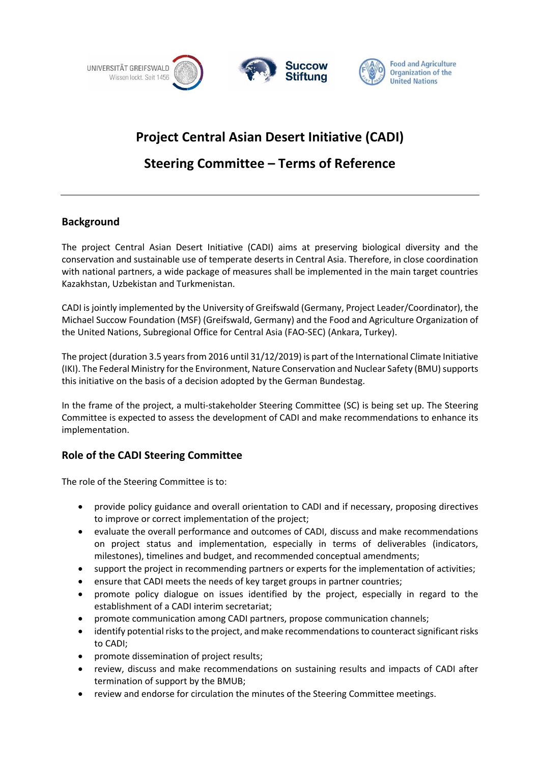

# **Project Central Asian Desert Initiative (CADI)**

# **Steering Committee – Terms of Reference**

## **Background**

The project Central Asian Desert Initiative (CADI) aims at preserving biological diversity and the conservation and sustainable use of temperate deserts in Central Asia. Therefore, in close coordination with national partners, a wide package of measures shall be implemented in the main target countries Kazakhstan, Uzbekistan and Turkmenistan.

CADI is jointly implemented by the University of Greifswald (Germany, Project Leader/Coordinator), the Michael Succow Foundation (MSF) (Greifswald, Germany) and the Food and Agriculture Organization of the United Nations, Subregional Office for Central Asia (FAO-SEC) (Ankara, Turkey).

The project (duration 3.5 years from 2016 until 31/12/2019) is part of the International Climate Initiative (IKI). The Federal Ministry for the Environment, Nature Conservation and Nuclear Safety (BMU) supports this initiative on the basis of a decision adopted by the German Bundestag.

In the frame of the project, a multi-stakeholder Steering Committee (SC) is being set up. The Steering Committee is expected to assess the development of CADI and make recommendations to enhance its implementation.

## **Role of the CADI Steering Committee**

The role of the Steering Committee is to:

- provide policy guidance and overall orientation to CADI and if necessary, proposing directives to improve or correct implementation of the project;
- evaluate the overall performance and outcomes of CADI, discuss and make recommendations on project status and implementation, especially in terms of deliverables (indicators, milestones), timelines and budget, and recommended conceptual amendments;
- support the project in recommending partners or experts for the implementation of activities;
- ensure that CADI meets the needs of key target groups in partner countries;
- promote policy dialogue on issues identified by the project, especially in regard to the establishment of a CADI interim secretariat;
- promote communication among CADI partners, propose communication channels;
- identify potential risks to the project, and make recommendations to counteract significant risks to CADI;
- promote dissemination of project results;
- review, discuss and make recommendations on sustaining results and impacts of CADI after termination of support by the BMUB;
- review and endorse for circulation the minutes of the Steering Committee meetings.